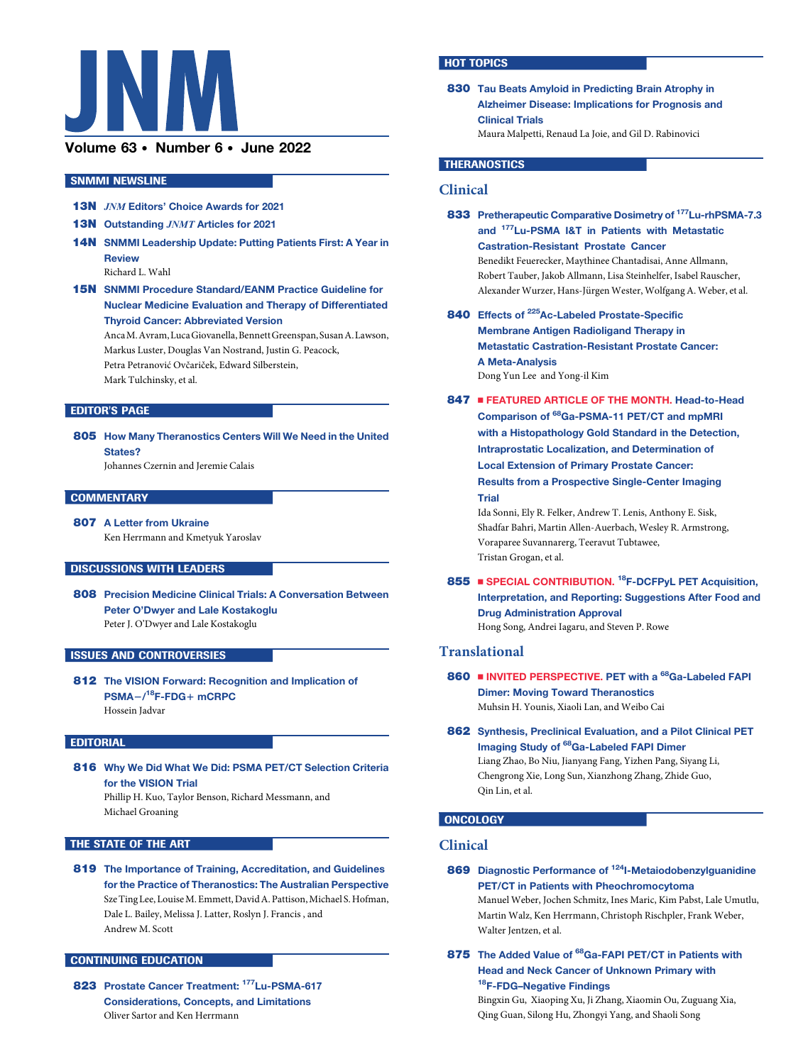

# Volume 63 · Number 6 · June 2022

#### SNMMI NEWSLINE

- 13N JNM Editors' Choice Awards for 2021
- 13N Outstanding JNMT Articles for 2021
- 14N SNMMI Leadership Update: Putting Patients First: A Year in Review

Richard L. Wahl

15N SNMMI Procedure Standard/EANM Practice Guideline for Nuclear Medicine Evaluation and Therapy of Differentiated Thyroid Cancer: Abbreviated Version

AncaM.Avram,LucaGiovanella,BennettGreenspan,SusanA.Lawson, Markus Luster, Douglas Van Nostrand, Justin G. Peacock, Petra Petranović Ovčariček, Edward Silberstein,

Mark Tulchinsky, et al.

### EDITOR'S PAGE

805 How Many Theranostics Centers Will We Need in the United States?

Johannes Czernin and Jeremie Calais

#### **COMMENTARY**

807 A Letter from Ukraine

Ken Herrmann and Kmetyuk Yaroslav

### DISCUSSIONS WITH LEADERS

808 Precision Medicine Clinical Trials: A Conversation Between Peter O'Dwyer and Lale Kostakoglu Peter J. O'Dwyer and Lale Kostakoglu

#### ISSUES AND CONTROVERSIES

812 The VISION Forward: Recognition and Implication of PSMA-/<sup>18</sup>F-FDG+ mCRPC Hossein Jadvar

#### EDITORIAL

816 Why We Did What We Did: PSMA PET/CT Selection Criteria for the VISION Trial Phillip H. Kuo, Taylor Benson, Richard Messmann, and Michael Groaning

#### THE STATE OF THE ART

819 The Importance of Training, Accreditation, and Guidelines for the Practice of Theranostics: The Australian Perspective SzeTingLee, LouiseM.Emmett,DavidA.Pattison,Michael S.Hofman, Dale L. Bailey, Melissa J. Latter, Roslyn J. Francis , and Andrew M. Scott

#### CONTINUING EDUCATION

823 Prostate Cancer Treatment: <sup>177</sup>Lu-PSMA-617 Considerations, Concepts, and Limitations Oliver Sartor and Ken Herrmann

#### **HOT TOPICS**

830 Tau Beats Amyloid in Predicting Brain Atrophy in Alzheimer Disease: Implications for Prognosis and Clinical Trials Maura Malpetti, Renaud La Joie, and Gil D. Rabinovici

### **THERANOSTICS**

## Clinical

| 833 Pretherapeutic Comparative Dosimetry of <sup>177</sup> Lu-rhPSMA-7.3<br>and <sup>177</sup> Lu-PSMA I&T in Patients with Metastatic |
|----------------------------------------------------------------------------------------------------------------------------------------|
| <b>Castration-Resistant Prostate Cancer</b>                                                                                            |
| Benedikt Feuerecker, Maythinee Chantadisai, Anne Allmann,                                                                              |
| Robert Tauber, Jakob Allmann, Lisa Steinhelfer, Isabel Rauscher,                                                                       |
| Alexander Wurzer, Hans-Jürgen Wester, Wolfgang A. Weber, et al.                                                                        |
| 840 Effects of <sup>225</sup> Ac-Labeled Prostate-Specific                                                                             |

- Membrane Antigen Radioligand Therapy in Metastatic Castration-Resistant Prostate Cancer: A Meta-Analysis Dong Yun Lee and Yong-il Kim
- 847 **EXECUTED ARTICLE OF THE MONTH. Head-to-Head** Comparison of <sup>68</sup>Ga-PSMA-11 PET/CT and mpMRI with a Histopathology Gold Standard in the Detection, Intraprostatic Localization, and Determination of Local Extension of Primary Prostate Cancer: Results from a Prospective Single-Center Imaging Trial Ida Sonni, Ely R. Felker, Andrew T. Lenis, Anthony E. Sisk,

Shadfar Bahri, Martin Allen-Auerbach, Wesley R. Armstrong, Voraparee Suvannarerg, Teeravut Tubtawee, Tristan Grogan, et al.

855 SPECIAL CONTRIBUTION. <sup>18</sup>F-DCFPyL PET Acquisition, Interpretation, and Reporting: Suggestions After Food and Drug Administration Approval Hong Song, Andrei Iagaru, and Steven P. Rowe

# Translational

- 860 INVITED PERSPECTIVE. PET with a <sup>68</sup>Ga-Labeled FAPI Dimer: Moving Toward Theranostics Muhsin H. Younis, Xiaoli Lan, and Weibo Cai
- 862 Synthesis, Preclinical Evaluation, and a Pilot Clinical PET Imaging Study of <sup>68</sup>Ga-Labeled FAPI Dimer Liang Zhao, Bo Niu, Jianyang Fang, Yizhen Pang, Siyang Li, Chengrong Xie, Long Sun, Xianzhong Zhang, Zhide Guo, Qin Lin, et al.

## **ONCOLOGY**

## Clinical

869 Diagnostic Performance of <sup>124</sup>I-Metaiodobenzylguanidine PET/CT in Patients with Pheochromocytoma Manuel Weber, Jochen Schmitz, Ines Maric, Kim Pabst, Lale Umutlu, Martin Walz, Ken Herrmann, Christoph Rischpler, Frank Weber,

Walter Jentzen, et al.

875 The Added Value of <sup>68</sup>Ga-FAPI PET/CT in Patients with Head and Neck Cancer of Unknown Primary with 18F-FDG-Negative Findings

Bingxin Gu, Xiaoping Xu, Ji Zhang, Xiaomin Ou, Zuguang Xia, Qing Guan, Silong Hu, Zhongyi Yang, and Shaoli Song